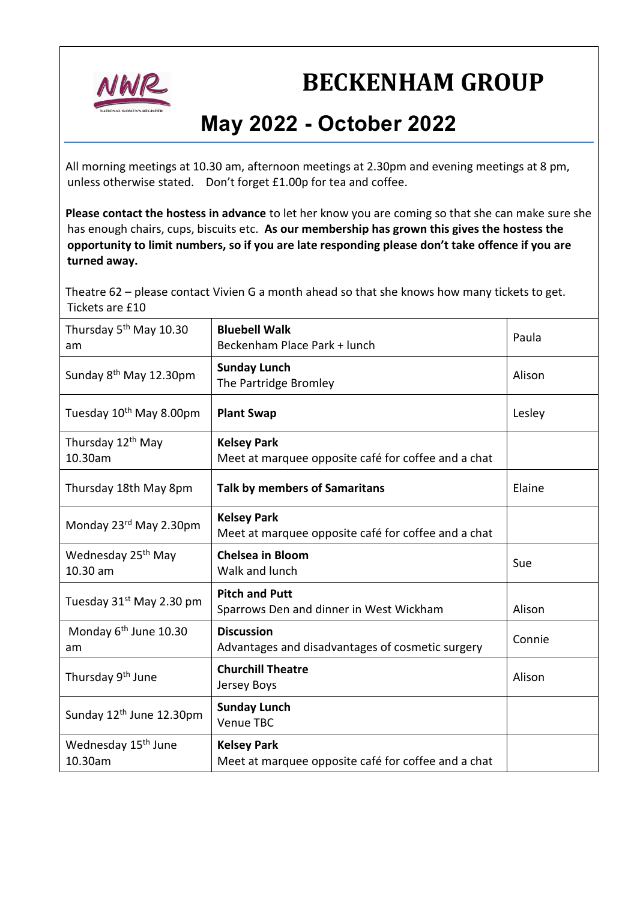

## **BECKENHAM GROUP**

## **May 2022 - October 2022**

All morning meetings at 10.30 am, afternoon meetings at 2.30pm and evening meetings at 8 pm, unless otherwise stated. Don't forget £1.00p for tea and coffee.

**Please contact the hostess in advance** to let her know you are coming so that she can make sure she has enough chairs, cups, biscuits etc. **As our membership has grown this gives the hostess the opportunity to limit numbers, so if you are late responding please don't take offence if you are turned away.**

Theatre 62 – please contact Vivien G a month ahead so that she knows how many tickets to get. Tickets are £10

| Thursday 5 <sup>th</sup> May 10.30<br>am   | <b>Bluebell Walk</b><br>Beckenham Place Park + lunch                      | Paula  |
|--------------------------------------------|---------------------------------------------------------------------------|--------|
| Sunday 8 <sup>th</sup> May 12.30pm         | <b>Sunday Lunch</b><br>The Partridge Bromley                              | Alison |
| Tuesday 10 <sup>th</sup> May 8.00pm        | <b>Plant Swap</b>                                                         | Lesley |
| Thursday 12 <sup>th</sup> May<br>10.30am   | <b>Kelsey Park</b><br>Meet at marquee opposite café for coffee and a chat |        |
| Thursday 18th May 8pm                      | <b>Talk by members of Samaritans</b>                                      | Elaine |
| Monday 23rd May 2.30pm                     | <b>Kelsey Park</b><br>Meet at marquee opposite café for coffee and a chat |        |
| Wednesday 25 <sup>th</sup> May<br>10.30 am | <b>Chelsea in Bloom</b><br>Walk and lunch                                 | Sue    |
| Tuesday 31 <sup>st</sup> May 2.30 pm       | <b>Pitch and Putt</b><br>Sparrows Den and dinner in West Wickham          | Alison |
| Monday 6 <sup>th</sup> June 10.30<br>am    | <b>Discussion</b><br>Advantages and disadvantages of cosmetic surgery     | Connie |
| Thursday 9 <sup>th</sup> June              | <b>Churchill Theatre</b><br>Jersey Boys                                   | Alison |
| Sunday 12 <sup>th</sup> June 12.30pm       | <b>Sunday Lunch</b><br>Venue TBC                                          |        |
| Wednesday 15 <sup>th</sup> June<br>10.30am | <b>Kelsey Park</b><br>Meet at marquee opposite café for coffee and a chat |        |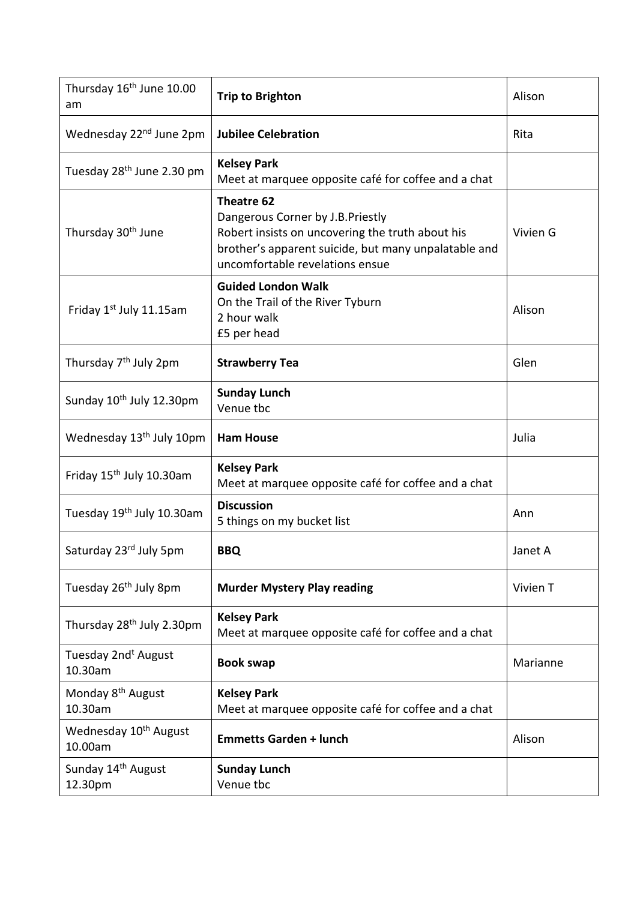| Thursday 16 <sup>th</sup> June 10.00<br>am   | <b>Trip to Brighton</b>                                                                                                                                                                       | Alison   |
|----------------------------------------------|-----------------------------------------------------------------------------------------------------------------------------------------------------------------------------------------------|----------|
| Wednesday 22 <sup>nd</sup> June 2pm          | <b>Jubilee Celebration</b>                                                                                                                                                                    | Rita     |
| Tuesday 28 <sup>th</sup> June 2.30 pm        | <b>Kelsey Park</b><br>Meet at marquee opposite café for coffee and a chat                                                                                                                     |          |
| Thursday 30 <sup>th</sup> June               | Theatre 62<br>Dangerous Corner by J.B.Priestly<br>Robert insists on uncovering the truth about his<br>brother's apparent suicide, but many unpalatable and<br>uncomfortable revelations ensue | Vivien G |
| Friday 1st July 11.15am                      | <b>Guided London Walk</b><br>On the Trail of the River Tyburn<br>2 hour walk<br>£5 per head                                                                                                   | Alison   |
| Thursday 7 <sup>th</sup> July 2pm            | <b>Strawberry Tea</b>                                                                                                                                                                         | Glen     |
| Sunday 10 <sup>th</sup> July 12.30pm         | <b>Sunday Lunch</b><br>Venue tbc                                                                                                                                                              |          |
| Wednesday 13 <sup>th</sup> July 10pm         | <b>Ham House</b>                                                                                                                                                                              | Julia    |
| Friday 15 <sup>th</sup> July 10.30am         | <b>Kelsey Park</b><br>Meet at marquee opposite café for coffee and a chat                                                                                                                     |          |
| Tuesday 19th July 10.30am                    | <b>Discussion</b><br>5 things on my bucket list                                                                                                                                               | Ann      |
| Saturday 23rd July 5pm                       | <b>BBQ</b>                                                                                                                                                                                    | Janet A  |
| Tuesday 26 <sup>th</sup> July 8pm            | <b>Murder Mystery Play reading</b>                                                                                                                                                            | Vivien T |
| Thursday 28 <sup>th</sup> July 2.30pm        | <b>Kelsey Park</b><br>Meet at marquee opposite café for coffee and a chat                                                                                                                     |          |
| Tuesday 2nd <sup>t</sup> August<br>10.30am   | <b>Book swap</b>                                                                                                                                                                              | Marianne |
| Monday 8 <sup>th</sup> August<br>10.30am     | <b>Kelsey Park</b><br>Meet at marquee opposite café for coffee and a chat                                                                                                                     |          |
| Wednesday 10 <sup>th</sup> August<br>10.00am | <b>Emmetts Garden + lunch</b>                                                                                                                                                                 | Alison   |
| Sunday 14 <sup>th</sup> August<br>12.30pm    | <b>Sunday Lunch</b><br>Venue tbc                                                                                                                                                              |          |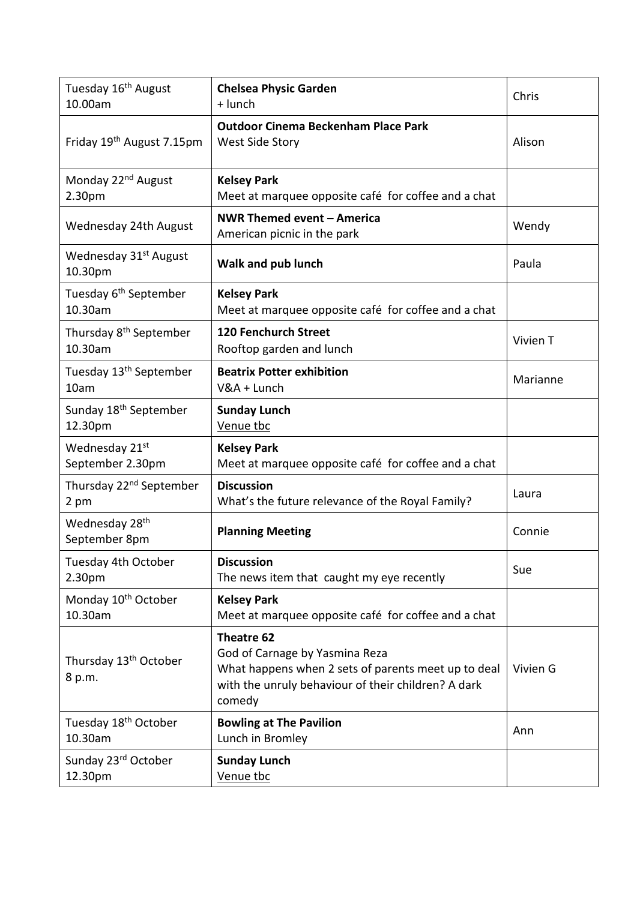| Tuesday 16 <sup>th</sup> August<br>10.00am    | <b>Chelsea Physic Garden</b><br>$+$ lunch                                                                                                                            | Chris    |
|-----------------------------------------------|----------------------------------------------------------------------------------------------------------------------------------------------------------------------|----------|
| Friday 19 <sup>th</sup> August 7.15pm         | <b>Outdoor Cinema Beckenham Place Park</b><br>West Side Story                                                                                                        | Alison   |
| Monday 22 <sup>nd</sup> August<br>2.30pm      | <b>Kelsey Park</b><br>Meet at marquee opposite café for coffee and a chat                                                                                            |          |
| Wednesday 24th August                         | NWR Themed event - America<br>American picnic in the park                                                                                                            | Wendy    |
| Wednesday 31 <sup>st</sup> August<br>10.30pm  | Walk and pub lunch                                                                                                                                                   | Paula    |
| Tuesday 6 <sup>th</sup> September<br>10.30am  | <b>Kelsey Park</b><br>Meet at marquee opposite café for coffee and a chat                                                                                            |          |
| Thursday 8 <sup>th</sup> September<br>10.30am | <b>120 Fenchurch Street</b><br>Rooftop garden and lunch                                                                                                              | Vivien T |
| Tuesday 13 <sup>th</sup> September<br>10am    | <b>Beatrix Potter exhibition</b><br>V&A + Lunch                                                                                                                      | Marianne |
| Sunday 18 <sup>th</sup> September<br>12.30pm  | <b>Sunday Lunch</b><br>Venue tbc                                                                                                                                     |          |
| Wednesday 21st<br>September 2.30pm            | <b>Kelsey Park</b><br>Meet at marquee opposite café for coffee and a chat                                                                                            |          |
| Thursday 22 <sup>nd</sup> September<br>2 pm   | <b>Discussion</b><br>What's the future relevance of the Royal Family?                                                                                                | Laura    |
| Wednesday 28 <sup>th</sup><br>September 8pm   | <b>Planning Meeting</b>                                                                                                                                              | Connie   |
| Tuesday 4th October<br>2.30pm                 | <b>Discussion</b><br>The news item that caught my eye recently                                                                                                       | Sue      |
| Monday 10 <sup>th</sup> October<br>10.30am    | <b>Kelsey Park</b><br>Meet at marquee opposite café for coffee and a chat                                                                                            |          |
| Thursday 13 <sup>th</sup> October<br>8 p.m.   | Theatre 62<br>God of Carnage by Yasmina Reza<br>What happens when 2 sets of parents meet up to deal<br>with the unruly behaviour of their children? A dark<br>comedy | Vivien G |
| Tuesday 18 <sup>th</sup> October<br>10.30am   | <b>Bowling at The Pavilion</b><br>Lunch in Bromley                                                                                                                   | Ann      |
| Sunday 23rd October<br>12.30pm                | <b>Sunday Lunch</b><br>Venue tbc                                                                                                                                     |          |